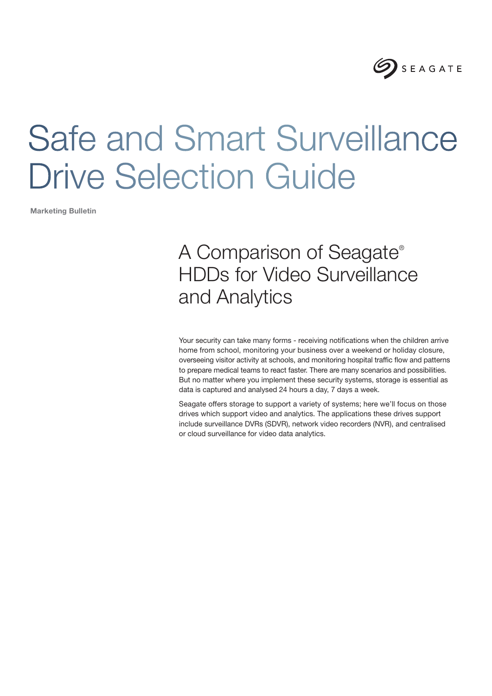

# Safe and Smart Surveillance Drive Selection Guide

Marketing Bulletin

## A Comparison of Seagate® HDDs for Video Surveillance and Analytics

Your security can take many forms - receiving notifications when the children arrive home from school, monitoring your business over a weekend or holiday closure, overseeing visitor activity at schools, and monitoring hospital traffic flow and patterns to prepare medical teams to react faster. There are many scenarios and possibilities. But no matter where you implement these security systems, storage is essential as data is captured and analysed 24 hours a day, 7 days a week.

Seagate offers storage to support a variety of systems; here we'll focus on those drives which support video and analytics. The applications these drives support include surveillance DVRs (SDVR), network video recorders (NVR), and centralised or cloud surveillance for video data analytics.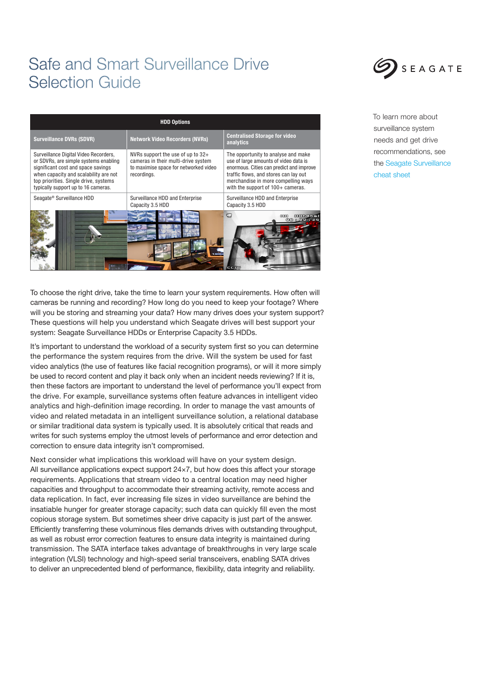### Safe and Smart Surveillance Drive Selection Guide



To choose the right drive, take the time to learn your system requirements. How often will cameras be running and recording? How long do you need to keep your footage? Where will you be storing and streaming your data? How many drives does your system support? These questions will help you understand which Seagate drives will best support your system: Seagate Surveillance HDDs or Enterprise Capacity 3.5 HDDs.

It's important to understand the workload of a security system first so you can determine the performance the system requires from the drive. Will the system be used for fast video analytics (the use of features like facial recognition programs), or will it more simply be used to record content and play it back only when an incident needs reviewing? If it is, then these factors are important to understand the level of performance you'll expect from the drive. For example, surveillance systems often feature advances in intelligent video analytics and high-definition image recording. In order to manage the vast amounts of video and related metadata in an intelligent surveillance solution, a relational database or similar traditional data system is typically used. It is absolutely critical that reads and writes for such systems employ the utmost levels of performance and error detection and correction to ensure data integrity isn't compromised.

Next consider what implications this workload will have on your system design. All surveillance applications expect support 24×7, but how does this affect your storage requirements. Applications that stream video to a central location may need higher capacities and throughput to accommodate their streaming activity, remote access and data replication. In fact, ever increasing file sizes in video surveillance are behind the insatiable hunger for greater storage capacity; such data can quickly fill even the most copious storage system. But sometimes sheer drive capacity is just part of the answer. Efficiently transferring these voluminous files demands drives with outstanding throughput, as well as robust error correction features to ensure data integrity is maintained during transmission. The SATA interface takes advantage of breakthroughs in very large scale integration (VLSI) technology and high-speed serial transceivers, enabling SATA drives to deliver an unprecedented blend of performance, flexibility, data integrity and reliability.



To learn more about surveillance system needs and get drive recommendations, see the [Seagate Surveillance](http://www.seagate.com/files/www-content/product-content/_cross-product/en-us/docs/surveillance-portfolio-sc553-3-1507us.pdf)  [cheat sheet](http://www.seagate.com/files/www-content/product-content/_cross-product/en-us/docs/surveillance-portfolio-sc553-3-1507us.pdf)